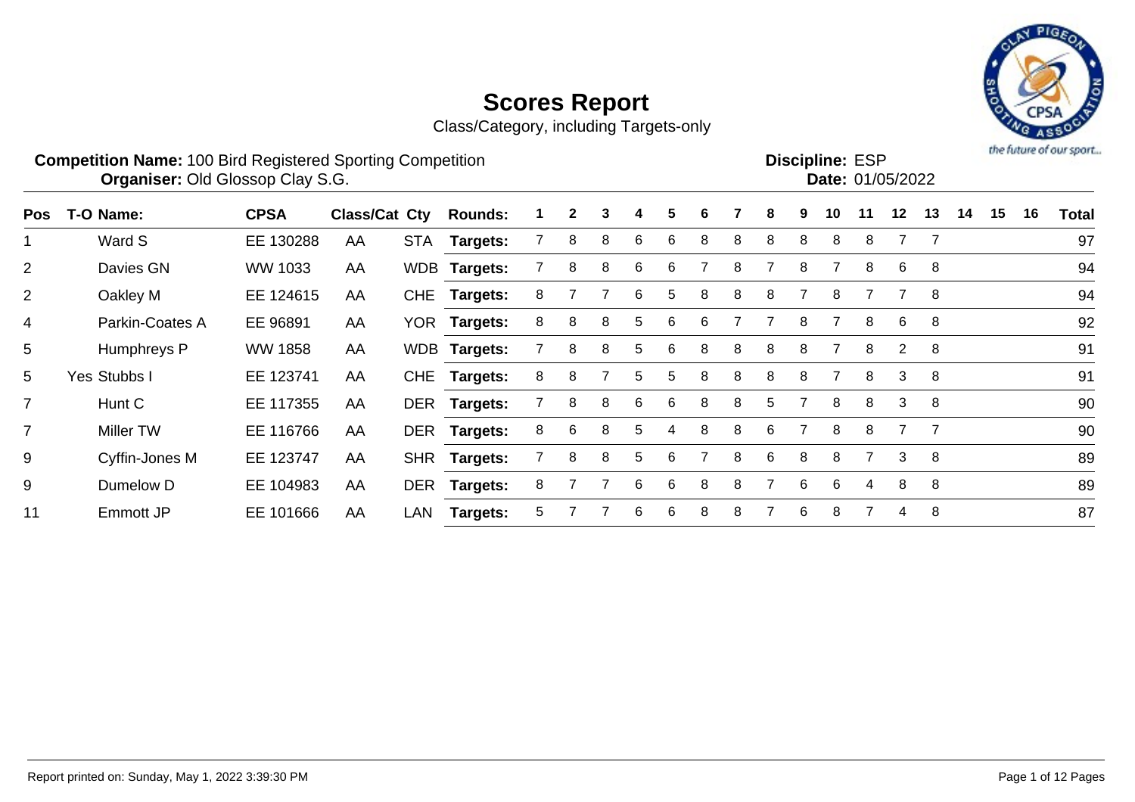Class/Category, including Targets-only



#### **Competition Name:** 100 Bird Registered Sporting Competition **EXP EXP Competition EXP Organiser:** Old Glossop Clay S.G. **Community Contract Contract Contract Contract Contract Contract Contract Contract Contract Contract Contract Contract Contract Contract Contract Contract Contract Contract Contract Contr**

**Discipline: ESP<br>Date: 01/05/2022** 

| <b>Pos</b>     | T-O Name:       | <b>CPSA</b>    | <b>Class/Cat Cty</b> |     | <b>Rounds:</b>  |    | $\mathbf{2}$ | 3 | 4  | 5  | 6 |   | 8 | 9 | 10 |   | 12                    | 13 | 14 | 15 | 16 | <b>Total</b> |
|----------------|-----------------|----------------|----------------------|-----|-----------------|----|--------------|---|----|----|---|---|---|---|----|---|-----------------------|----|----|----|----|--------------|
|                | Ward S          | EE 130288      | AA                   |     | STA Targets:    |    | 8            | 8 | 6  | 6  | 8 | 8 | 8 | 8 | 8  | 8 |                       |    |    |    |    | 97           |
| $\overline{2}$ | Davies GN       | WW 1033        | AA                   |     | WDB Targets:    |    | 8            | 8 | 6  | 6  |   |   |   | 8 |    | 8 | 6                     | 8  |    |    |    | 94           |
| $\overline{2}$ | Oakley M        | EE 124615      | AA                   |     | CHE Targets:    | 8  |              |   | 6  | 5  | 8 | 8 | 8 |   | 8  |   |                       | -8 |    |    |    | 94           |
| 4              | Parkin-Coates A | EE 96891       | AA                   |     | YOR Targets:    | 8  | 8            | 8 | 5  | 6  | 6 |   |   | 8 |    | 8 | 6                     | -8 |    |    |    | 92           |
| 5              | Humphreys P     | <b>WW 1858</b> | AA                   |     | WDB Targets:    |    | 8            | 8 | 5  | 6  | 8 | 8 | 8 | 8 |    | 8 | $\mathbf{2}^{\prime}$ | -8 |    |    |    | 91           |
| 5              | Yes Stubbs I    | EE 123741      | AA                   |     | CHE Targets:    | 8  | 8            |   | 5. | 5. | 8 | 8 | 8 | 8 |    | 8 | 3                     | -8 |    |    |    | 91           |
| $\overline{7}$ | Hunt C          | EE 117355      | AA                   |     | DER Targets:    |    | 8            | 8 | 6  | 6  | 8 | 8 | 5 |   | 8  | 8 | 3                     | 8  |    |    |    | 90           |
| $\overline{7}$ | Miller TW       | EE 116766      | AA                   |     | DER Targets:    | 8  | 6            | 8 | 5. | 4  | 8 | 8 | 6 |   | 8  | 8 |                       |    |    |    |    | 90           |
| 9              | Cyffin-Jones M  | EE 123747      | AA                   |     | SHR Targets:    |    | 8            | 8 | 5. | 6  |   | 8 | 6 | 8 | 8  |   | 3                     | 8  |    |    |    | 89           |
| 9              | Dumelow D       | EE 104983      | AA                   |     | DER Targets:    | 8  |              |   | 6  | 6  | 8 |   |   | 6 | 6. | 4 | 8                     | 8  |    |    |    | 89           |
| 11             | Emmott JP       | EE 101666      | AA                   | LAN | <b>Targets:</b> | 5. |              |   | 6  | 6  | 8 | 8 |   | 6 | 8  |   | 4                     | 8  |    |    |    | 87           |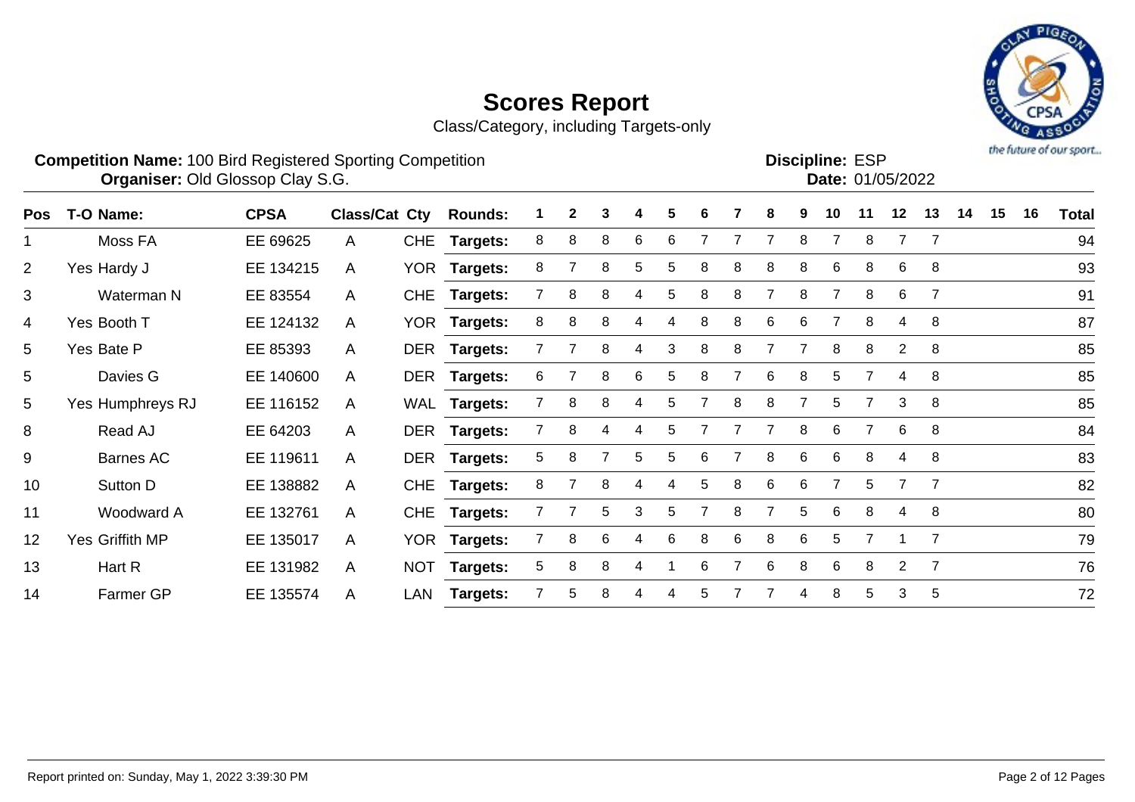Class/Category, including Targets-only



#### **Competition Name:** 100 Bird Registered Sporting Competition **EXP EXP Competition EXP Organiser:** Old Glossop Clay S.G. **Community Contract Contract Contract Contract Contract Contract Contract Contract Contract Contract Contract Contract Contract Contract Contract Contract Contract Contract Contract Contr**

**Discipline: ESP<br>
<b>Date:** 01/05/2022

| <b>Pos</b>     | T-O Name:        | <b>CPSA</b> | Class/Cat Cty |            | <b>Rounds:</b>  |   | $\mathbf{2}$ | 3 | 4 | 5 | 6 |   | 8 | 9 | 10 |                | 12             | 13             | 14 | 15 | 16 | <b>Total</b> |
|----------------|------------------|-------------|---------------|------------|-----------------|---|--------------|---|---|---|---|---|---|---|----|----------------|----------------|----------------|----|----|----|--------------|
|                | Moss FA          | EE 69625    | A             | <b>CHE</b> | Targets:        | 8 | 8            | 8 | 6 | 6 |   |   |   | 8 |    | 8              |                |                |    |    |    | 94           |
| $\overline{2}$ | Yes Hardy J      | EE 134215   | A             |            | YOR Targets:    | 8 |              | 8 | 5 | 5 | 8 | 8 | 8 | 8 | 6  | 8              | 6              | 8              |    |    |    | 93           |
| 3              | Waterman N       | EE 83554    | $\mathsf{A}$  | <b>CHE</b> | <b>Targets:</b> |   | 8            | 8 |   | 5 | 8 | 8 |   | 8 |    | 8              | 6              |                |    |    |    | 91           |
| 4              | Yes Booth T      | EE 124132   | A             |            | YOR Targets:    | 8 | 8            | 8 | 4 | 4 | 8 | 8 | 6 | 6 | 7  | 8              | 4              | -8             |    |    |    | 87           |
| 5              | Yes Bate P       | EE 85393    | $\mathsf{A}$  |            | DER Targets:    |   |              | 8 | 4 | 3 | 8 | 8 |   |   | 8  | 8              | $\mathbf{2}$   | 8              |    |    |    | 85           |
| 5              | Davies G         | EE 140600   | A             |            | DER Targets:    | 6 |              | 8 | 6 | 5 | 8 |   | 6 | 8 | 5  | $\overline{7}$ | 4              | -8             |    |    |    | 85           |
| 5              | Yes Humphreys RJ | EE 116152   | $\mathsf{A}$  |            | WAL Targets:    |   | 8            | 8 | 4 | 5 |   | 8 | 8 |   | 5  |                | 3              | -8             |    |    |    | 85           |
| 8              | Read AJ          | EE 64203    | A             |            | DER Targets:    |   | 8            | 4 | 4 | 5 |   |   |   | 8 | 6  | 7              | 6              | -8             |    |    |    | 84           |
| 9              | Barnes AC        | EE 119611   | A             |            | DER Targets:    | 5 | 8            |   | 5 | 5 | 6 |   | 8 | 6 | 6  | 8              | 4              | -8             |    |    |    | 83           |
| 10             | Sutton D         | EE 138882   | A             | <b>CHE</b> | <b>Targets:</b> | 8 |              | 8 | 4 | 4 | 5 | 8 | 6 | 6 |    | 5.             | $\overline{7}$ | -7             |    |    |    | 82           |
| 11             | Woodward A       | EE 132761   | A             | <b>CHE</b> | <b>Targets:</b> |   |              | 5 | 3 | 5 |   | 8 |   | 5 | 6  | 8              | 4              | -8             |    |    |    | 80           |
| 12             | Yes Griffith MP  | EE 135017   | A             |            | YOR Targets:    |   | 8            | 6 | 4 | 6 | 8 | 6 | 8 | 6 | 5  |                |                | $\overline{7}$ |    |    |    | 79           |
| 13             | Hart R           | EE 131982   | A             | <b>NOT</b> | <b>Targets:</b> | 5 | 8            | 8 | 4 |   | 6 |   | 6 | 8 | 6  | 8              | 2              | - 7            |    |    |    | 76           |
| 14             | Farmer GP        | EE 135574   | A             | LAN        | <b>Targets:</b> |   | 5            | 8 |   | 4 | 5 |   |   | 4 | 8  | 5              | 3              | 5              |    |    |    | 72           |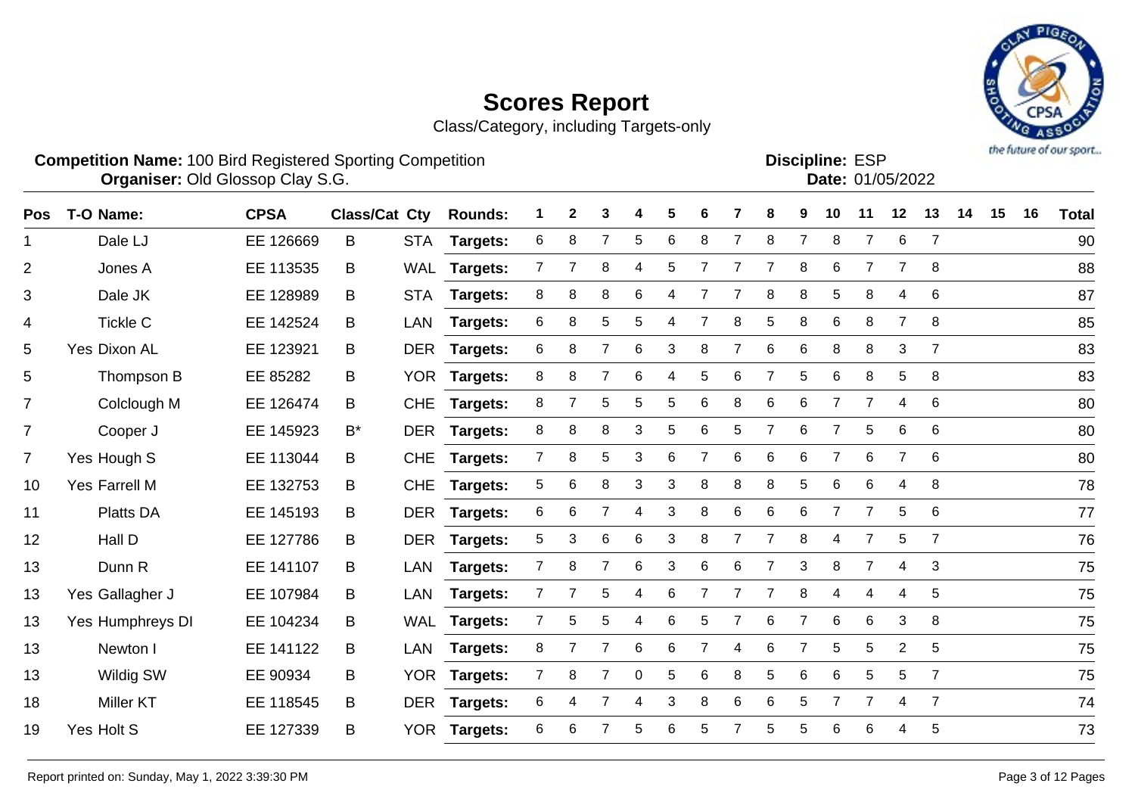Class/Category, including Targets-only



**Competition Name:** 100 Bird Registered Sporting Competition **EXP EXP Competition EXP Organiser:** Old Glossop Clay S.G. **Community Contract Contract Contract Contract Contract Contract Contract Contract Contract Contract Contract Contract Contract Contract Contract Contract Contract Contract Contract Contr** 

Discipline: FSP

| אווווו <del>ט</del> . בטר |                  |
|---------------------------|------------------|
|                           | Date: 01/05/2022 |
|                           |                  |

| Pos            | T-O Name:        | <b>CPSA</b> | <b>Class/Cat Cty</b> |            | <b>Rounds:</b>  | 1              | $\mathbf{2}$ | 3               | 4 | 5 | 6 |                | 8              | 9              | 10             | 11             | 12              | 13             | 14 | 15 | 16 | <b>Total</b> |
|----------------|------------------|-------------|----------------------|------------|-----------------|----------------|--------------|-----------------|---|---|---|----------------|----------------|----------------|----------------|----------------|-----------------|----------------|----|----|----|--------------|
| $\mathbf{1}$   | Dale LJ          | EE 126669   | B                    | <b>STA</b> | <b>Targets:</b> | 6              | 8            | $\overline{7}$  | 5 | 6 | 8 | $\overline{7}$ | 8              | $\overline{7}$ | 8              | 7              | $6\phantom{1}6$ | $\overline{7}$ |    |    |    | 90           |
| $\overline{2}$ | Jones A          | EE 113535   | B                    | <b>WAL</b> | <b>Targets:</b> | $\overline{7}$ |              | 8               | 4 | 5 |   |                | 7              | 8              | 6              | $\overline{7}$ |                 | 8              |    |    |    | 88           |
| 3              | Dale JK          | EE 128989   | В                    | <b>STA</b> | Targets:        | 8              | 8            | 8               | 6 | 4 |   |                | 8              | 8              | 5              | 8              | 4               | 6              |    |    |    | 87           |
| 4              | <b>Tickle C</b>  | EE 142524   | В                    | <b>LAN</b> | Targets:        | 6              | 8            | 5               | 5 | 4 | 7 | 8              | 5              | 8              | 6              | 8              | $\overline{7}$  | 8              |    |    |    | 85           |
| 5              | Yes Dixon AL     | EE 123921   | B.                   |            | DER Targets:    | 6              | 8            | 7               | 6 | 3 | 8 | 7              | 6              | $6\phantom{1}$ | 8              | 8              | 3               | $\overline{7}$ |    |    |    | 83           |
| 5              | Thompson B       | EE 85282    | B                    |            | YOR Targets:    | 8              | 8            | $\overline{7}$  | 6 | 4 | 5 | 6              | $\overline{7}$ | 5              | 6              | 8              | 5               | 8              |    |    |    | 83           |
| $\overline{7}$ | Colclough M      | EE 126474   | B                    | <b>CHE</b> | <b>Targets:</b> | 8              | 7            | 5               | 5 | 5 | 6 | 8              | 6              | $\,6$          | $\overline{7}$ | $\overline{7}$ | 4               | 6              |    |    |    | 80           |
| $\overline{7}$ | Cooper J         | EE 145923   | B*                   |            | DER Targets:    | 8              | 8            | 8               | 3 | 5 | 6 | 5              | $\overline{7}$ | 6              | $\overline{7}$ | 5              | 6               | 6              |    |    |    | 80           |
| $\overline{7}$ | Yes Hough S      | EE 113044   | В                    | <b>CHE</b> | <b>Targets:</b> | $\overline{7}$ | 8            | $5\phantom{.0}$ | 3 | 6 |   | 6              | 6              | 6              |                | 6              |                 | 6              |    |    |    | 80           |
| 10             | Yes Farrell M    | EE 132753   | B                    | <b>CHE</b> | Targets:        | 5              | 6            | 8               | 3 | 3 | 8 | 8              | 8              | 5              | 6              | 6              | 4               | 8              |    |    |    | 78           |
| 11             | <b>Platts DA</b> | EE 145193   | B                    | <b>DER</b> | <b>Targets:</b> | 6              | 6            |                 | 4 | 3 | 8 | 6              | 6              | 6              | 7              | 7              | 5               | 6              |    |    |    | 77           |
| 12             | Hall D           | EE 127786   | B                    |            | DER Targets:    | 5              | 3            | $6\phantom{1}6$ | 6 | 3 | 8 | $\overline{7}$ | $\overline{7}$ | 8              | 4              | 7              | 5               | $\overline{7}$ |    |    |    | 76           |
| 13             | Dunn R           | EE 141107   | B                    | LAN        | <b>Targets:</b> | $\overline{7}$ | 8            | $\overline{7}$  | 6 | 3 | 6 | 6              | $\overline{7}$ | 3              | 8              | $\overline{7}$ | 4               | 3              |    |    |    | 75           |
| 13             | Yes Gallagher J  | EE 107984   | B                    | LAN        | <b>Targets:</b> | $\overline{7}$ | 7            | 5               | 4 | 6 | 7 | $\overline{7}$ | 7              | 8              | 4              | 4              | 4               | 5              |    |    |    | 75           |
| 13             | Yes Humphreys DI | EE 104234   | B                    | <b>WAL</b> | <b>Targets:</b> | $\overline{7}$ | 5            | 5               | 4 | 6 | 5 | 7              | 6              | 7              | 6              | 6              | 3               | 8              |    |    |    | 75           |
| 13             | Newton I         | EE 141122   | B.                   | LAN        | <b>Targets:</b> | 8              | 7            | 7               | 6 | 6 | 7 | 4              | 6              | $\overline{7}$ | 5              | 5              | 2               | 5              |    |    |    | 75           |
| 13             | Wildig SW        | EE 90934    | B                    |            | YOR Targets:    | $\mathbf{7}$   | 8            | $\overline{7}$  | 0 | 5 | 6 | 8              | 5              | 6              | 6              | 5              | 5               | $\overline{7}$ |    |    |    | 75           |
| 18             | <b>Miller KT</b> | EE 118545   | B                    | <b>DER</b> | Targets:        | 6              | 4            |                 | 4 | 3 | 8 | 6              | 6              | 5              |                | 7              | 4               | $\overline{7}$ |    |    |    | 74           |
| 19             | Yes Holt S       | EE 127339   | B                    | <b>YOR</b> | <b>Targets:</b> | 6              | 6            |                 | 5 | 6 | 5 |                | 5              | 5              | 6              | 6              | 4               | 5              |    |    |    | 73           |
|                |                  |             |                      |            |                 |                |              |                 |   |   |   |                |                |                |                |                |                 |                |    |    |    |              |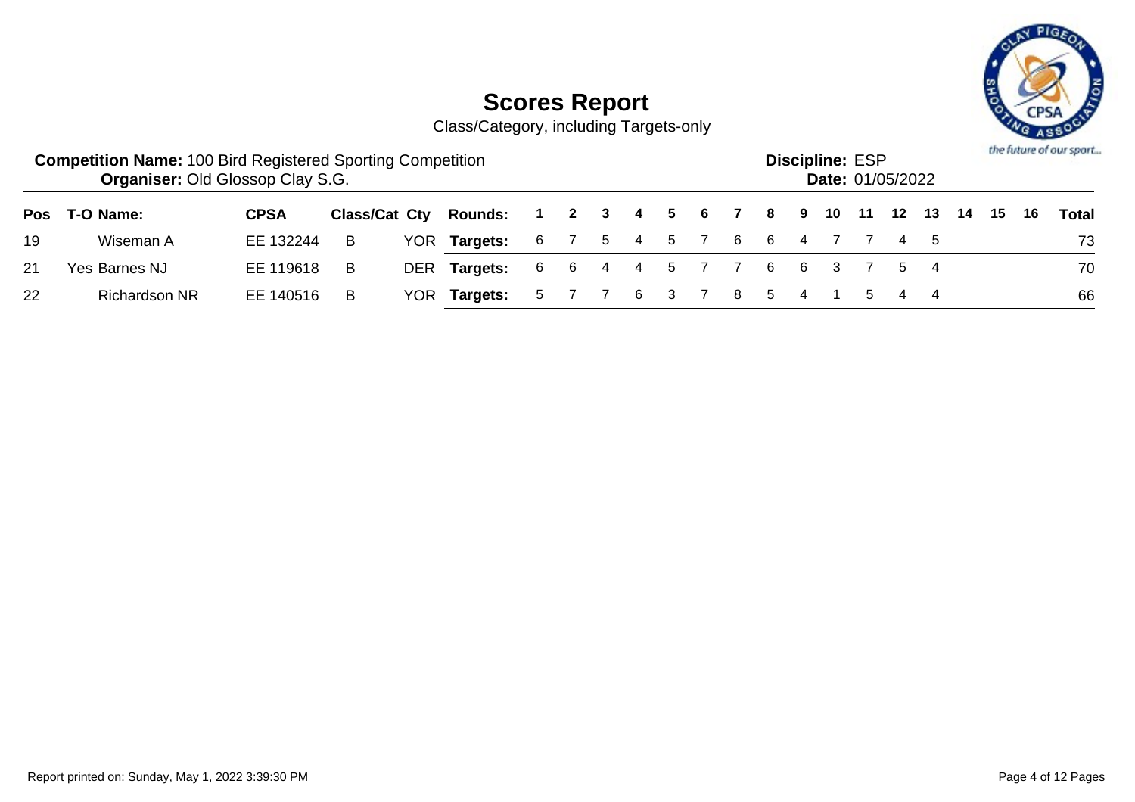

|    | <b>Competition Name: 100 Bird Registered Sporting Competition</b><br><b>Organiser: Old Glossop Clay S.G.</b> |             |     |                              |  |  |  |                           | <b>Discipline: ESP</b><br><b>Date: 01/05/2022</b> |     |  |                                        | the future of our sport |
|----|--------------------------------------------------------------------------------------------------------------|-------------|-----|------------------------------|--|--|--|---------------------------|---------------------------------------------------|-----|--|----------------------------------------|-------------------------|
|    | Pos T-O Name:                                                                                                | <b>CPSA</b> |     | <b>Class/Cat Cty Rounds:</b> |  |  |  |                           |                                                   |     |  | 1 2 3 4 5 6 7 8 9 10 11 12 13 14 15 16 | Total                   |
| 19 | Wiseman A                                                                                                    | EE 132244   | - B | YOR Targets:                 |  |  |  | 6 7 5 4 5 7 6 6 4 7 7 4 5 |                                                   |     |  |                                        | 73                      |
| 21 | Yes Barnes NJ                                                                                                | EE 119618   | -B  | DER Targets:                 |  |  |  | 6 6 4 4 5 7 7 6 6 3 7 5 4 |                                                   |     |  |                                        | 70                      |
| 22 | <b>Richardson NR</b>                                                                                         | EE 140516   | B   | YOR Targets:                 |  |  |  | 5 7 7 6 3 7 8 5 4         |                                                   | 544 |  |                                        | 66                      |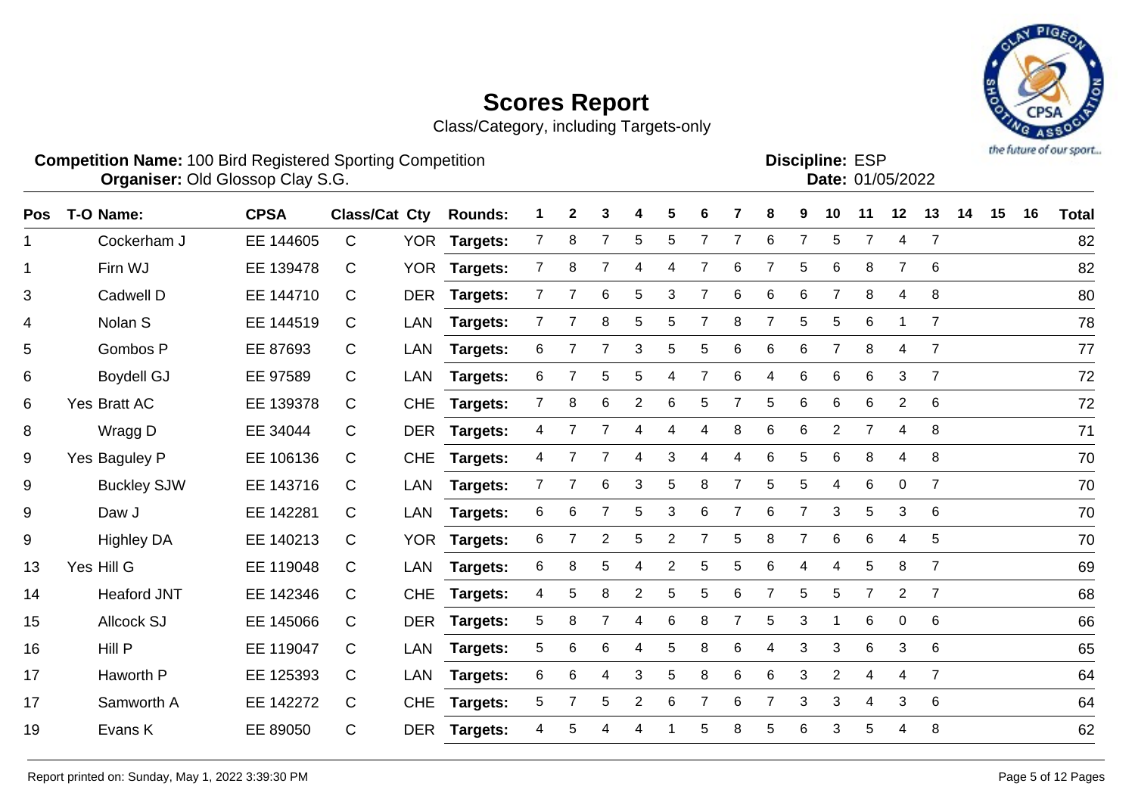Class/Category, including Targets-only



#### **Competition Name:** 100 Bird Registered Sporting Competition **EXP EXP Competition EXP Organiser:** Old Glossop Clay S.G. **Community Contract Contract Contract Contract Contract Contract Contract Contract Contract Contract Contract Contract Contract Contract Contract Contract Contract Contract Contract Contr**

**Discipline:**

| וט∟ .סטוווועו |                  |
|---------------|------------------|
|               | Date: 01/05/2022 |
|               |                  |

| <b>Pos</b>   | T-O Name:          | <b>CPSA</b> | <b>Class/Cat Cty</b> |            | <b>Rounds:</b>  |                | $\mathbf{2}$ | 3              |                | 5              | 6              |                | 8              | 9              | 10             | 11             | 12             | 13             | 14 | 15 | 16 | <b>Total</b> |
|--------------|--------------------|-------------|----------------------|------------|-----------------|----------------|--------------|----------------|----------------|----------------|----------------|----------------|----------------|----------------|----------------|----------------|----------------|----------------|----|----|----|--------------|
| $\mathbf 1$  | Cockerham J        | EE 144605   | $\mathsf{C}$         |            | YOR Targets:    | $\mathbf{7}$   | 8            | $\overline{7}$ | 5              | 5              | 7              | 7              | 6              | $\overline{7}$ | 5              | 7              | 4              | $\overline{7}$ |    |    |    | 82           |
| $\mathbf{1}$ | Firn WJ            | EE 139478   | C                    | <b>YOR</b> | <b>Targets:</b> | $\overline{7}$ | 8            | 7              | 4              | 4              | 7              | 6              | 7              | 5              | 6              | 8              |                | 6              |    |    |    | 82           |
| 3            | Cadwell D          | EE 144710   | C                    | <b>DER</b> | Targets:        | $\overline{7}$ |              | 6              | 5              | 3              |                | 6              | 6              | 6              | $\overline{7}$ | 8              | 4              | 8              |    |    |    | 80           |
| 4            | Nolan <sub>S</sub> | EE 144519   | C                    | <b>LAN</b> | Targets:        |                |              | 8              | 5              | 5              | 7              | 8              | 7              | 5              | 5              | 6              |                | $\overline{7}$ |    |    |    | 78           |
| 5            | Gombos P           | EE 87693    | C                    | LAN        | Targets:        | 6              | 7            | 7              | 3              | 5              | 5              | 6              | 6              | 6              | 7              | 8              | 4              | $\overline{7}$ |    |    |    | 77           |
| 6            | <b>Boydell GJ</b>  | EE 97589    | C                    | LAN        | <b>Targets:</b> | 6              |              | 5              | 5              | 4              | $\overline{7}$ | 6              | 4              | $\,6$          | 6              | 6              | 3              | $\overline{7}$ |    |    |    | 72           |
| 6            | Yes Bratt AC       | EE 139378   | C                    | <b>CHE</b> | <b>Targets:</b> | $\overline{7}$ | 8            | 6              | $\overline{c}$ | 6              | 5              |                | $\mathbf 5$    | 6              | 6              | 6              | $\overline{2}$ | 6              |    |    |    | 72           |
| 8            | Wragg D            | EE 34044    | C                    | <b>DER</b> | <b>Targets:</b> | 4              |              | 7              | 4              | 4              | 4              | 8              | 6              | 6              | $\overline{2}$ | $\overline{7}$ | 4              | 8              |    |    |    | 71           |
| 9            | Yes Baguley P      | EE 106136   | C                    | <b>CHE</b> | Targets:        | 4              |              | $\overline{7}$ | 4              | 3              | 4              | 4              | 6              | 5              | 6              | 8              | 4              | 8              |    |    |    | 70           |
| 9            | <b>Buckley SJW</b> | EE 143716   | C                    | LAN        | Targets:        | $\overline{7}$ |              | $\,6$          | 3              | 5              | 8              |                | 5              | 5              | 4              | 6              | $\overline{0}$ | $\overline{7}$ |    |    |    | 70           |
| $9\,$        | Daw J              | EE 142281   | C                    | LAN        | Targets:        | 6              | 6            |                | 5              | 3              | 6              |                | 6              |                | 3              | 5              | 3              | 6              |    |    |    | 70           |
| 9            | <b>Highley DA</b>  | EE 140213   | C                    | <b>YOR</b> | Targets:        | 6              |              | 2              | 5              | 2              | 7              | 5              | 8              | 7              | 6              | 6              | 4              | 5              |    |    |    | 70           |
| 13           | Yes Hill G         | EE 119048   | C                    | <b>LAN</b> | Targets:        | 6              | 8            | $\sqrt{5}$     | 4              | $\overline{2}$ | 5              | 5              | 6              | 4              | 4              | 5              | 8              | $\overline{7}$ |    |    |    | 69           |
| 14           | <b>Heaford JNT</b> | EE 142346   | C                    | <b>CHE</b> | <b>Targets:</b> | 4              | 5            | 8              | $\overline{2}$ | 5              | 5              | 6              | $\overline{7}$ | 5              | 5              | $\overline{7}$ | $\overline{2}$ | $\overline{7}$ |    |    |    | 68           |
| 15           | Allcock SJ         | EE 145066   | C                    |            | DER Targets:    | 5              | 8            | 7              | 4              | 6              | 8              | $\overline{7}$ | 5              | 3              | 1              | 6              | $\mathbf 0$    | 6              |    |    |    | 66           |
| 16           | Hill P             | EE 119047   | C                    | <b>LAN</b> | Targets:        | 5              | 6            | 6              | 4              | 5              | 8              | 6              | 4              | 3              | 3              | 6              | 3              | 6              |    |    |    | 65           |
| 17           | Haworth P          | EE 125393   | C                    | LAN        | Targets:        | 6              | 6            | 4              | 3              | 5              | 8              | 6              | 6              | 3              | $\overline{2}$ | 4              | 4              | 7              |    |    |    | 64           |
| 17           | Samworth A         | EE 142272   | C                    | <b>CHE</b> | <b>Targets:</b> | 5              | 7            | 5              | $\overline{2}$ | 6              | 7              | 6              | $\overline{7}$ | 3              | 3              | 4              | 3              | 6              |    |    |    | 64           |
| 19           | Evans K            | EE 89050    | C                    | <b>DER</b> | <b>Targets:</b> | 4              | 5            |                | 4              |                | 5              | 8              | 5              | 6              | 3              | 5              |                | 8              |    |    |    | 62           |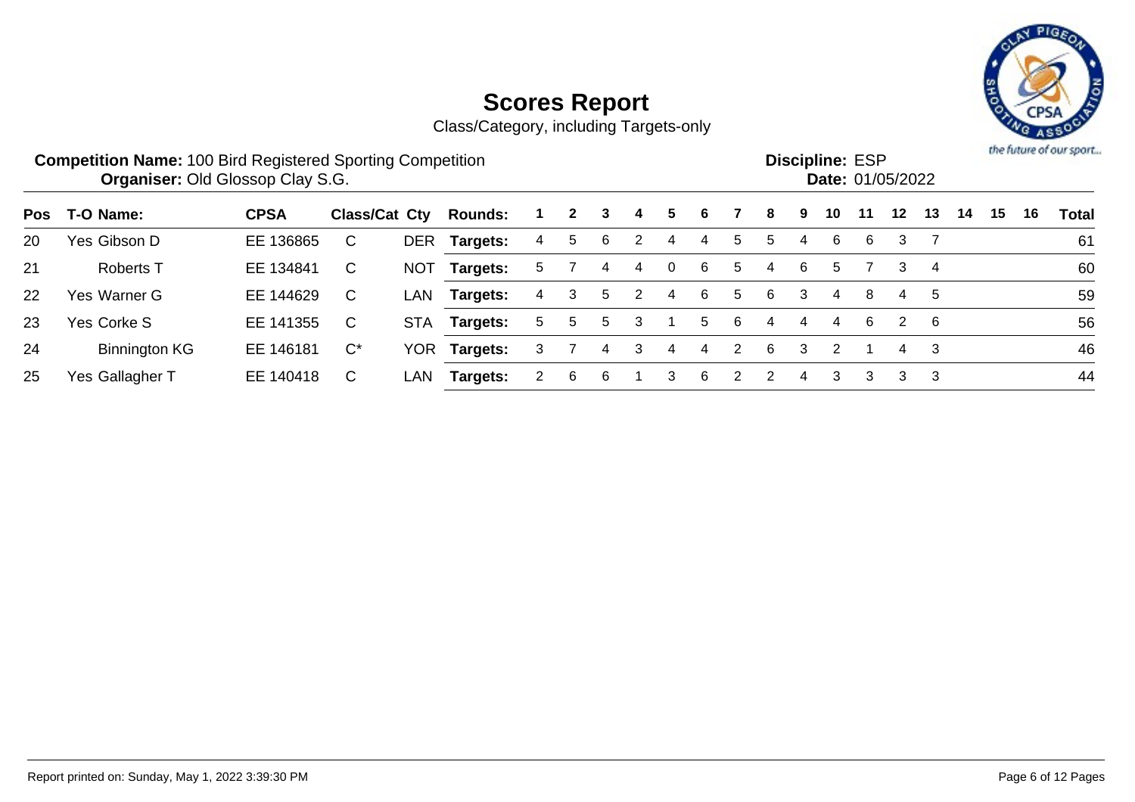

|     | <b>Competition Name: 100 Bird Registered Sporting Competition</b><br><b>Organiser: Old Glossop Clay S.G.</b> |             |                      |            |                |    |              |   |   |             |    |               | <b>Discipline: ESP</b><br><b>Date: 01/05/2022</b> |   |    |    |                      |     |    | the future of our sport |    |       |
|-----|--------------------------------------------------------------------------------------------------------------|-------------|----------------------|------------|----------------|----|--------------|---|---|-------------|----|---------------|---------------------------------------------------|---|----|----|----------------------|-----|----|-------------------------|----|-------|
| Pos | T-O Name:                                                                                                    | <b>CPSA</b> | <b>Class/Cat Cty</b> |            | <b>Rounds:</b> |    | $\mathbf{2}$ | 3 | 4 | 5.          | 6  |               | 8                                                 | 9 | 10 | 11 | $12 \,$              | 13  | 14 | 15                      | 16 | Total |
| 20  | Yes Gibson D                                                                                                 | EE 136865   | C                    | <b>DER</b> | Targets:       | 4  | 5            | 6 | 2 | 4           | 4  | 5             | 5.                                                | 4 | 6  | 6  | 3                    |     |    |                         |    | 61    |
| 21  | <b>Roberts T</b>                                                                                             | EE 134841   | C                    | <b>NOT</b> | Targets:       | 5. |              | 4 | 4 | $\mathbf 0$ | 6  | 5             | 4                                                 | 6 | 5  |    | 3                    | 4   |    |                         |    | 60    |
| 22  | Yes Warner G                                                                                                 | EE 144629   | C                    | LAN        | Targets:       | 4  | 3            | 5 | 2 | 4           | 6  | 5             | 6                                                 | 3 | 4  | 8  | 4                    | 5   |    |                         |    | 59    |
| 23  | Yes Corke S                                                                                                  | EE 141355   | C                    | <b>STA</b> | Targets:       | 5. | 5            | 5 | 3 |             | 5. | -6            | 4                                                 | 4 | 4  | 6  | $\mathbf{2}^{\circ}$ | - 6 |    |                         |    | 56    |
| 24  | <b>Binnington KG</b>                                                                                         | EE 146181   | $C^*$                | YOR        | Targets:       | 3. |              | 4 | 3 | 4           | 4  | 2             | 6                                                 | 3 | 2  |    | 4                    | -3  |    |                         |    | 46    |
| 25  | Yes Gallagher T                                                                                              | EE 140418   | C                    | LAN        | Targets:       |    | 6            | 6 |   | 3           | 6  | $\mathcal{P}$ | $\mathcal{P}$                                     | 4 | 3  | 3  | 3                    | -3  |    |                         |    | 44    |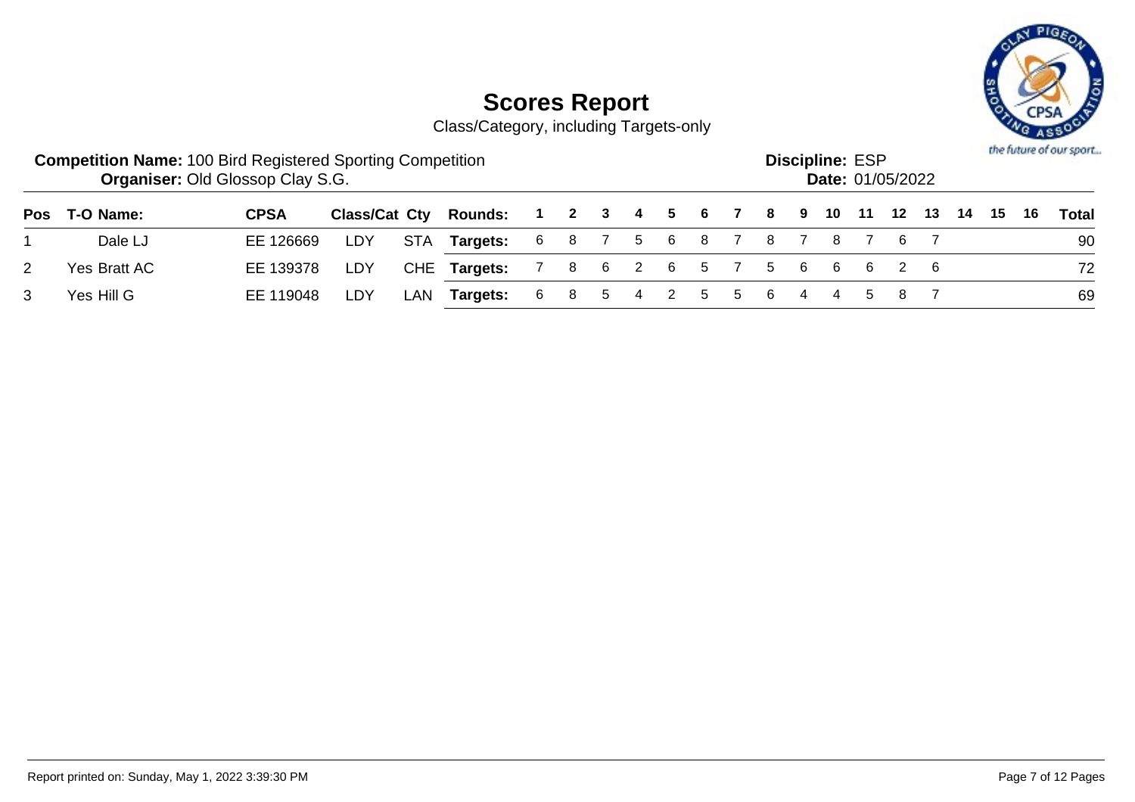

|   | <b>Competition Name: 100 Bird Registered Sporting Competition</b> | <b>Organiser: Old Glossop Clay S.G.</b> |     |     |                                                              |             |  |  |  |               | <b>Discipline: ESP</b><br>Date: 01/05/2022 |  |  |  | the future of our sport |
|---|-------------------------------------------------------------------|-----------------------------------------|-----|-----|--------------------------------------------------------------|-------------|--|--|--|---------------|--------------------------------------------|--|--|--|-------------------------|
|   | Pos T-O Name:                                                     | <b>CPSA</b>                             |     |     | Class/Cat Cty Rounds: 1 2 3 4 5 6 7 8 9 10 11 12 13 14 15 16 |             |  |  |  |               |                                            |  |  |  | Total                   |
|   | Dale LJ                                                           | EE 126669                               | LDY |     | STA Targets: 6 8 7 5 6 8 7 8 7 8 7 6 7                       |             |  |  |  |               |                                            |  |  |  | 90                      |
| 2 | Yes Bratt AC                                                      | EE 139378                               | LDY |     | CHE Targets: 7 8 6 2 6 5 7 5 6 6 6 2 6                       |             |  |  |  |               |                                            |  |  |  | 72                      |
|   | Yes Hill G                                                        | EE 119048                               | LDY | LAN | Targets:                                                     | 6 8 5 4 2 5 |  |  |  | 5 6 4 4 5 8 7 |                                            |  |  |  | 69                      |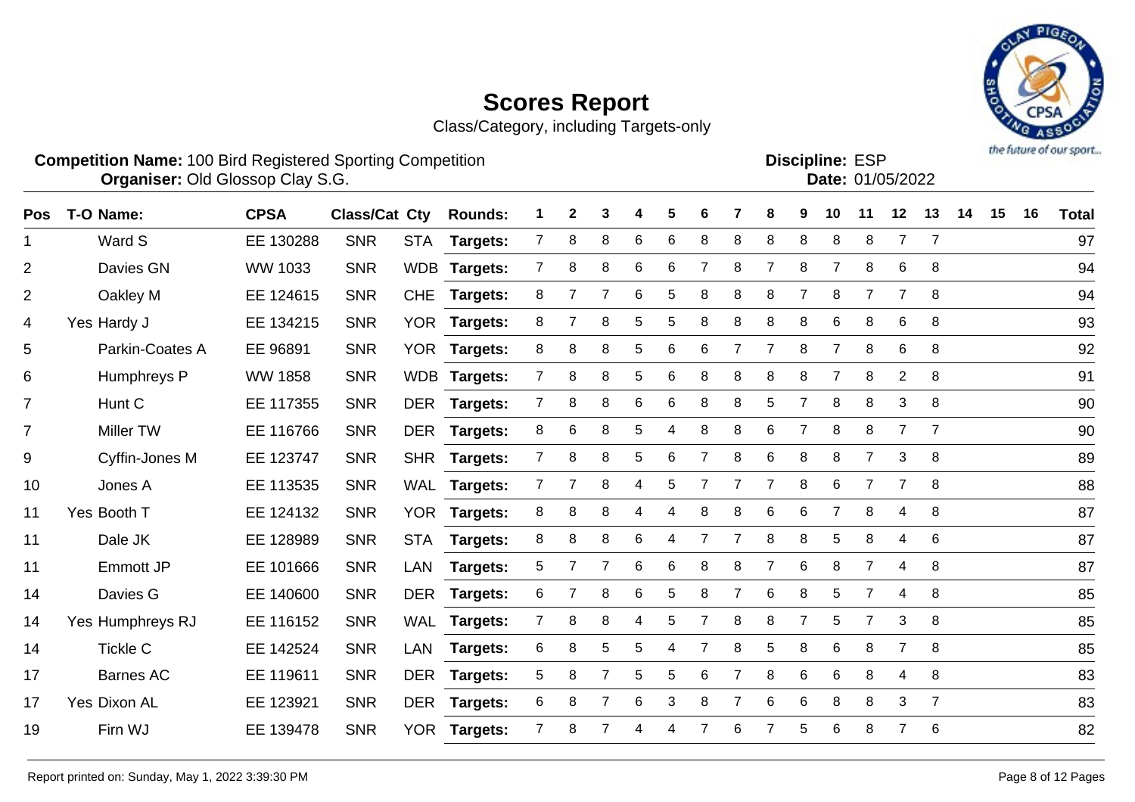Pos T-O Name: CPSA Class/Cat Cty Rounds: 1 2 3 4 5 6 7 8 9 10 11 12 13 14 15 16 Total

Class/Category, including Targets-only



#### **Competition Name:** 100 Bird Registered Sporting Competition **EXP EXP Competition EXP Organiser:** Old Glossop Clay S.G. **Community Contract Contract Contract Contract Contract Contract Contract Contract Contract Contract Contract Contract Contract Contract Contract Contract Contract Contract Contract Contr**

**Discipline:**

|    | Ward S           | EE 130288      | <b>SNR</b> | <b>STA</b> | <b>Targets:</b> |              | 8 | 8 | 6  | 6               | 8 | 8 | 8              | 8 | 8              | 8              | $\overline{7}$ | $\overline{7}$ | 97 |
|----|------------------|----------------|------------|------------|-----------------|--------------|---|---|----|-----------------|---|---|----------------|---|----------------|----------------|----------------|----------------|----|
| 2  | Davies GN        | WW 1033        | <b>SNR</b> |            | WDB Targets:    |              | 8 | 8 | 6  | 6               | 7 | 8 | $\overline{7}$ | 8 |                | 8              | 6              | 8              | 94 |
| 2  | Oakley M         | EE 124615      | <b>SNR</b> | <b>CHE</b> | <b>Targets:</b> | 8            |   |   | 6  | 5               | 8 | 8 | 8              |   | 8              |                |                | 8              | 94 |
| 4  | Yes Hardy J      | EE 134215      | <b>SNR</b> |            | YOR Targets:    | 8            |   | 8 | 5. | 5               | 8 | 8 | 8              | 8 | 6              | 8              | 6              | 8              | 93 |
| 5  | Parkin-Coates A  | EE 96891       | <b>SNR</b> |            | YOR Targets:    | 8            | 8 | 8 | 5  | 6               | 6 |   | $\overline{7}$ | 8 |                | 8              | 6              | 8              | 92 |
| 6  | Humphreys P      | <b>WW 1858</b> | <b>SNR</b> |            | WDB Targets:    | 7            | 8 | 8 | 5  | 6               | 8 | 8 | 8              | 8 | $\overline{7}$ | 8              | $\overline{2}$ | 8              | 91 |
|    | Hunt C           | EE 117355      | <b>SNR</b> |            | DER Targets:    |              | 8 | 8 | 6  | 6               | 8 | 8 | 5              |   | 8              | 8              | 3              | 8              | 90 |
|    | <b>Miller TW</b> | EE 116766      | <b>SNR</b> | <b>DER</b> | <b>Targets:</b> | 8            | 6 | 8 | 5. | 4               | 8 | 8 | 6              |   | 8              | 8              |                | $\overline{7}$ | 90 |
| 9  | Cyffin-Jones M   | EE 123747      | <b>SNR</b> |            | SHR Targets:    | 7            | 8 | 8 | 5. | 6               | 7 | 8 | 6              | 8 | 8              | $\overline{7}$ | 3              | 8              | 89 |
| 10 | Jones A          | EE 113535      | <b>SNR</b> |            | WAL Targets:    | 7            |   | 8 | 4  | 5               |   |   | 7              | 8 | 6              | 7              |                | 8              | 88 |
| 11 | Yes Booth T      | EE 124132      | <b>SNR</b> |            | YOR Targets:    | 8            | 8 | 8 | 4  | 4               | 8 | 8 | 6              | 6 | 7              | 8              | 4              | 8              | 87 |
| 11 | Dale JK          | EE 128989      | <b>SNR</b> | <b>STA</b> | <b>Targets:</b> | 8            | 8 | 8 | 6  | 4               | 7 |   | 8              | 8 | 5              | 8              | 4              | 6              | 87 |
| 11 | <b>Emmott JP</b> | EE 101666      | <b>SNR</b> | LAN        | <b>Targets:</b> | 5            |   |   | 6  | 6               | 8 | 8 | 7              | 6 | 8              | $\overline{7}$ | 4              | 8              | 87 |
| 14 | Davies G         | EE 140600      | <b>SNR</b> | <b>DER</b> | <b>Targets:</b> | 6            |   | 8 | 6  | 5               | 8 |   | 6              | 8 | 5              | 7              | 4              | 8              | 85 |
| 14 | Yes Humphreys RJ | EE 116152      | <b>SNR</b> |            | WAL Targets:    | $\mathbf{7}$ | 8 | 8 | 4  | 5               |   | 8 | 8              |   | 5              | $\overline{7}$ | 3              | 8              | 85 |
| 14 | <b>Tickle C</b>  | EE 142524      | <b>SNR</b> | LAN        | <b>Targets:</b> | 6            | 8 | 5 | 5  | 4               |   | 8 | 5              | 8 | 6              | 8              |                | 8              | 85 |
| 17 | <b>Barnes AC</b> | EE 119611      | <b>SNR</b> | <b>DER</b> | Targets:        | 5            | 8 |   | 5  | $5\phantom{.0}$ | 6 |   | 8              | 6 | 6              | 8              | 4              | -8             | 83 |
|    |                  |                |            |            |                 |              |   |   |    |                 |   |   |                |   |                |                |                |                |    |

 Yes Dixon AL EE 123921 SNR DER **Targets:** 6 8 7 6 3 8 7 6 6 8 8 3 7 83 Firn WJ EE 139478 SNR YOR **Targets:** 7 8 7 4 4 7 6 7 5 6 8 7 6 82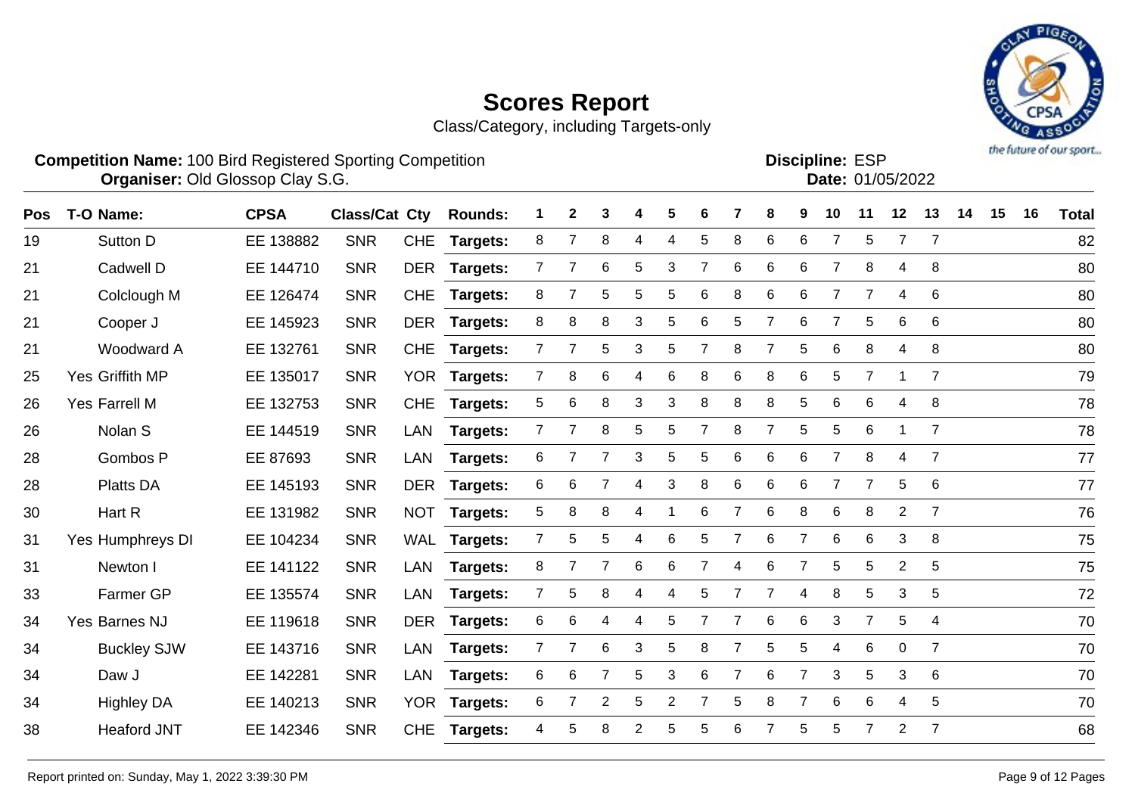

| <b>Competition Name: 100 Bird Registered Sporting Competition</b>                     | <b>Organiser: Old Glossop Clay S.G.</b> |  |  |  |  |  |  |  | <b>Discipline: ESP</b> | <b>Date: 01/05/2022</b> |  |  | the future of our sport |
|---------------------------------------------------------------------------------------|-----------------------------------------|--|--|--|--|--|--|--|------------------------|-------------------------|--|--|-------------------------|
| Class/Cat Cty Rounds: 1 2 3 4 5 6 7 8 9 10 11 12 13 14 15 16<br>CPSA<br>Pos T-O Name: |                                         |  |  |  |  |  |  |  |                        |                         |  |  | <b>Total</b>            |

| ros | <b>1-0 Name:</b>     | <b>UPJA</b> | Giassigat Giv |            | <b>ROUNDS:</b>  |                | ◢              | J              |   |                 | O              |                | $\mathbf o$    | ັ              | ΙV             | $\mathbf{L}$   | $\overline{2}$ | IJ             | -14 | IJ | ΙO | <u>i otal</u> |
|-----|----------------------|-------------|---------------|------------|-----------------|----------------|----------------|----------------|---|-----------------|----------------|----------------|----------------|----------------|----------------|----------------|----------------|----------------|-----|----|----|---------------|
| 19  | Sutton D             | EE 138882   | <b>SNR</b>    | <b>CHE</b> | <b>Targets:</b> | 8              | $\overline{7}$ | 8              | 4 | 4               | 5              | 8              | 6              | 6              | $\overline{7}$ | 5              | $\overline{7}$ | $\overline{7}$ |     |    |    | 82            |
| 21  | Cadwell D            | EE 144710   | <b>SNR</b>    | <b>DER</b> | <b>Targets:</b> | 7              |                | 6              | 5 | 3               | 7              | 6              | 6              | 6              | 7              | 8              | 4              | 8              |     |    |    | 80            |
| 21  | Colclough M          | EE 126474   | <b>SNR</b>    | <b>CHE</b> | Targets:        | 8              |                | 5              | 5 | 5               | 6              | 8              | 6              | 6              |                | $\overline{7}$ | 4              | 6              |     |    |    | 80            |
| 21  | Cooper J             | EE 145923   | <b>SNR</b>    |            | DER Targets:    | 8              | 8              | 8              | 3 | 5               | 6              | 5              | $\overline{7}$ | 6              | $\overline{7}$ | 5              | 6              | 6              |     |    |    | 80            |
| 21  | Woodward A           | EE 132761   | <b>SNR</b>    | <b>CHE</b> | <b>Targets:</b> | $\overline{7}$ | $\overline{7}$ | 5              | 3 | 5               | 7              | 8              | $\overline{7}$ | 5              | 6              | 8              | 4              | 8              |     |    |    | 80            |
| 25  | Yes Griffith MP      | EE 135017   | <b>SNR</b>    |            | YOR Targets:    | $\mathbf{7}$   | 8              | 6              | 4 | 6               | 8              | 6              | 8              | 6              | 5              | $\overline{7}$ |                | $\overline{7}$ |     |    |    | 79            |
| 26  | <b>Yes Farrell M</b> | EE 132753   | <b>SNR</b>    | <b>CHE</b> | Targets:        | 5              | 6              | 8              | 3 | 3               | 8              | 8              | 8              | 5              | 6              | 6              | 4              | 8              |     |    |    | 78            |
| 26  | Nolan S              | EE 144519   | <b>SNR</b>    | LAN        | Targets:        | 7              |                | 8              | 5 | 5               |                | 8              | $\overline{7}$ | 5              | 5              | 6              |                | $\overline{7}$ |     |    |    | 78            |
| 28  | Gombos P             | EE 87693    | <b>SNR</b>    | LAN        | Targets:        | 6              |                | 7              | 3 | 5               | 5              | 6              | 6              | 6              | $\overline{7}$ | 8              | 4              | $\overline{7}$ |     |    |    | 77            |
| 28  | <b>Platts DA</b>     | EE 145193   | <b>SNR</b>    |            | DER Targets:    | 6              | 6              | $\overline{7}$ | 4 | 3               | 8              | 6              | 6              | 6              | $\overline{7}$ | 7              | 5              | 6              |     |    |    | 77            |
| 30  | Hart R               | EE 131982   | <b>SNR</b>    | <b>NOT</b> | <b>Targets:</b> | 5              | 8              | 8              | 4 | -1              | 6              | $\overline{7}$ | 6              | 8              | 6              | 8              | $\overline{2}$ | $\overline{7}$ |     |    |    | 76            |
| 31  | Yes Humphreys DI     | EE 104234   | <b>SNR</b>    | WAL        | <b>Targets:</b> | $\overline{7}$ | 5              | 5              | 4 | $6\phantom{1}6$ | 5              | $\overline{7}$ | 6              | $\overline{7}$ | $\,6$          | 6              | 3              | 8              |     |    |    | 75            |
| 31  | Newton I             | EE 141122   | <b>SNR</b>    | LAN        | Targets:        | 8              |                | $\overline{7}$ | 6 | 6               | $\overline{7}$ | 4              | 6              | 7              | 5              | 5              | $\overline{2}$ | $\sqrt{5}$     |     |    |    | 75            |
| 33  | Farmer GP            | EE 135574   | <b>SNR</b>    | LAN        | Targets:        | $\mathbf{7}$   | 5              | 8              | 4 | 4               | 5              | $\overline{7}$ | $\overline{7}$ | 4              | 8              | 5              | 3              | 5              |     |    |    | 72            |
| 34  | Yes Barnes NJ        | EE 119618   | <b>SNR</b>    | DER        | <b>Targets:</b> | 6              | 6              | 4              | 4 | 5               | 7              |                | 6              | 6              | 3              | $\overline{7}$ | 5              | $\overline{4}$ |     |    |    | 70            |
| 34  | <b>Buckley SJW</b>   | EE 143716   | <b>SNR</b>    | LAN        | Targets:        | 7              | $\overline{7}$ | 6              | 3 | 5               | 8              |                | 5              | 5              | 4              | 6              | $\mathbf{0}$   | $\overline{7}$ |     |    |    | 70            |
| 34  | Daw J                | EE 142281   | <b>SNR</b>    | LAN        | <b>Targets:</b> | 6              | 6              | $\overline{7}$ | 5 | 3               | 6              |                | 6              | $\overline{7}$ | 3              | 5              | 3              | 6              |     |    |    | 70            |
| 34  | <b>Highley DA</b>    | EE 140213   | <b>SNR</b>    | <b>YOR</b> | <b>Targets:</b> | 6              |                | $\overline{2}$ | 5 | $\overline{2}$  |                | 5              | 8              |                | $6\phantom{1}$ | 6              | 4              | 5              |     |    |    | 70            |
| 38  | <b>Heaford JNT</b>   | EE 142346   | <b>SNR</b>    | <b>CHE</b> | <b>Targets:</b> | 4              | 5              | 8              | 2 | 5               | 5              | 6              |                | 5              | 5              | $\overline{7}$ | $\overline{2}$ | $\overline{7}$ |     |    |    | 68            |
|     |                      |             |               |            |                 |                |                |                |   |                 |                |                |                |                |                |                |                |                |     |    |    |               |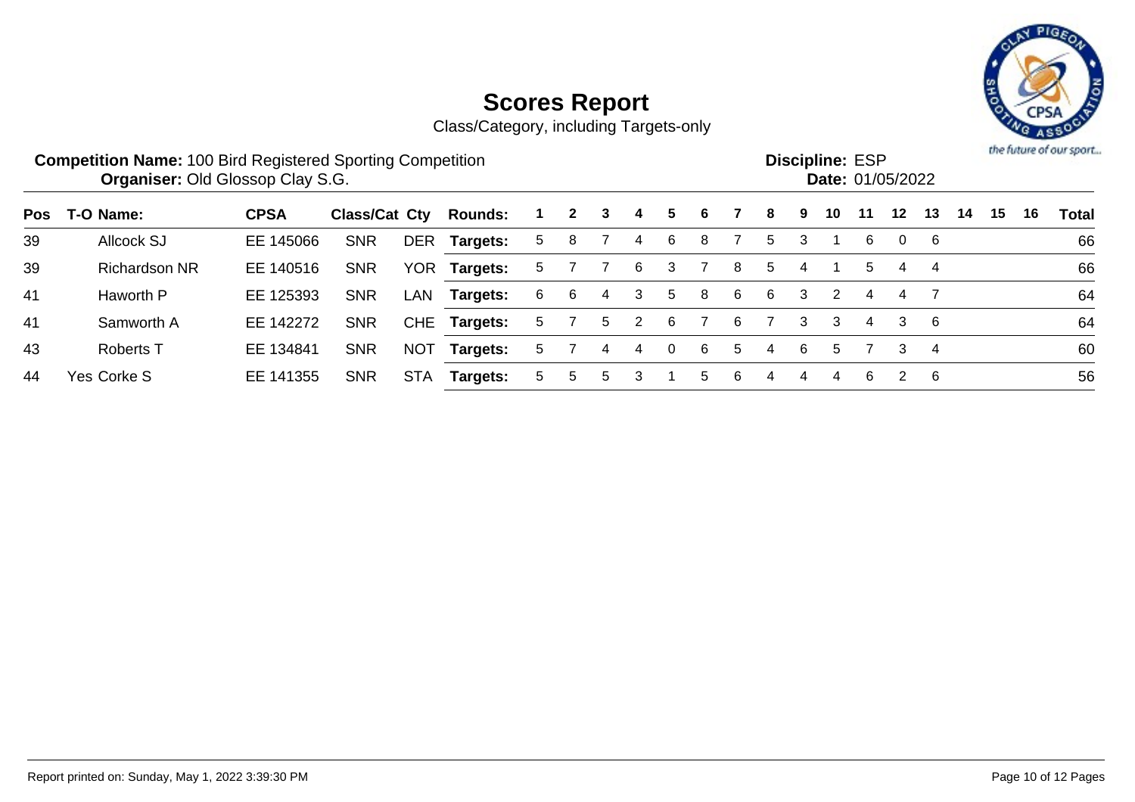

| <b>Competition Name: 100 Bird Registered Sporting Competition</b><br><b>Organiser: Old Glossop Clay S.G.</b> |                      |             |               |            |                 |    |   |   |   |          |   |   |    |   |    | <b>Discipline: ESP</b> | <b>Date: 01/05/2022</b> |    |    |    | the future of our sport<br>16<br>Total |    |  |  |  |  |  |  |  |  |
|--------------------------------------------------------------------------------------------------------------|----------------------|-------------|---------------|------------|-----------------|----|---|---|---|----------|---|---|----|---|----|------------------------|-------------------------|----|----|----|----------------------------------------|----|--|--|--|--|--|--|--|--|
| Pos                                                                                                          | T-O Name:            | <b>CPSA</b> | Class/Cat Cty |            | <b>Rounds:</b>  |    | 2 | 3 | 4 | 5        | 6 |   | 8. | 9 | 10 | 11                     | 12 <sup>1</sup>         | 13 | 14 | 15 |                                        |    |  |  |  |  |  |  |  |  |
| 39                                                                                                           | <b>Allcock SJ</b>    | EE 145066   | <b>SNR</b>    | <b>DER</b> | Targets:        | 5  | 8 |   | 4 | 6        | 8 |   | 5. | 3 |    | 6                      | 0                       | 6  |    |    |                                        | 66 |  |  |  |  |  |  |  |  |
| 39                                                                                                           | <b>Richardson NR</b> | EE 140516   | <b>SNR</b>    | <b>YOR</b> | Targets:        | 5. |   |   | 6 | 3        |   | 8 | 5  | 4 |    | 5.                     | 4                       | 4  |    |    |                                        | 66 |  |  |  |  |  |  |  |  |
| 41                                                                                                           | Haworth P            | EE 125393   | <b>SNR</b>    | LAN        | Targets:        | 6  | 6 | 4 | 3 | 5        | 8 | 6 | 6  | 3 | 2  | 4                      | 4                       |    |    |    |                                        | 64 |  |  |  |  |  |  |  |  |
| 41                                                                                                           | Samworth A           | EE 142272   | <b>SNR</b>    | <b>CHE</b> | <b>Targets:</b> | 5. |   | 5 |   | 6        |   | 6 |    | 3 | 3  | 4                      | 3                       | -6 |    |    |                                        | 64 |  |  |  |  |  |  |  |  |
| 43                                                                                                           | <b>Roberts T</b>     | EE 134841   | <b>SNR</b>    | <b>NOT</b> | Targets:        | 5. |   | 4 | 4 | $\Omega$ | 6 | 5 | 4  | 6 | 5  |                        | 3                       | 4  |    |    |                                        | 60 |  |  |  |  |  |  |  |  |
| 44                                                                                                           | Yes Corke S          | EE 141355   | <b>SNR</b>    | <b>STA</b> | Targets:        | 5. | 5 | 5 |   |          | 5 | 6 | 4  | 4 | 4  | 6                      | 2                       | -6 |    |    |                                        | 56 |  |  |  |  |  |  |  |  |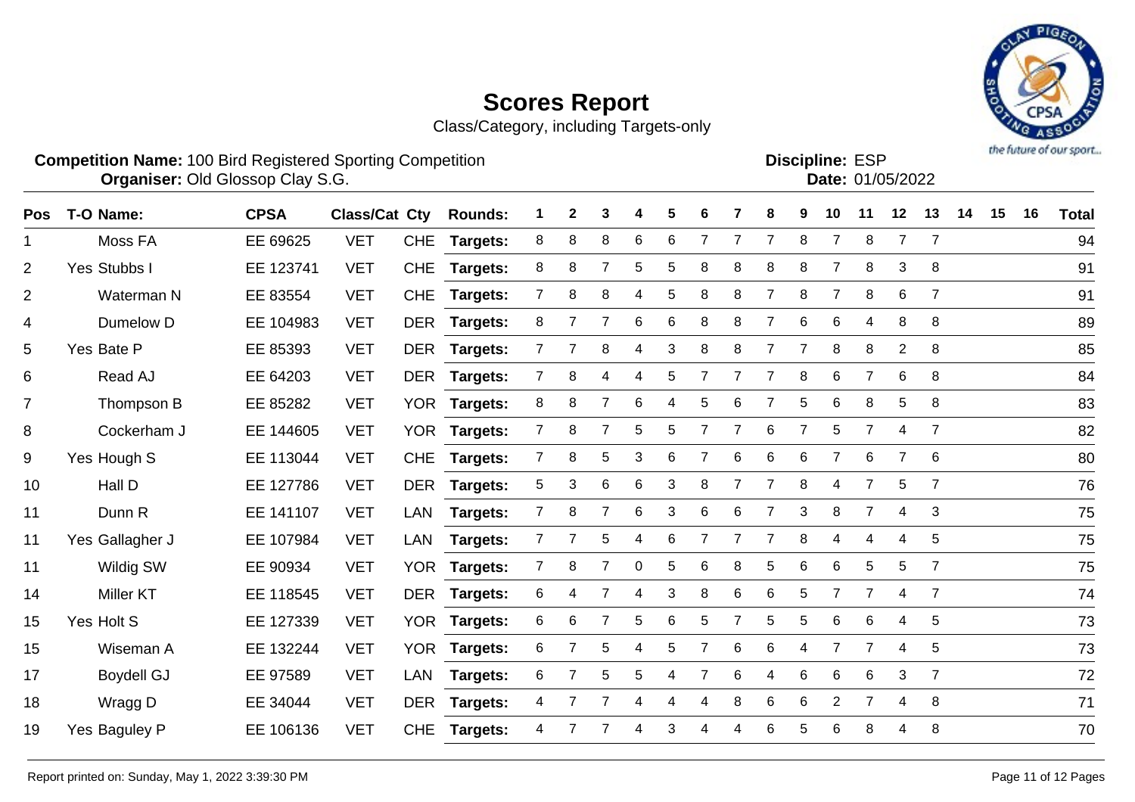Class/Category, including Targets-only



**Competition Name:** 100 Bird Registered Sporting Competition **EXP EXP Competition EXP Organiser:** Old Glossop Clay S.G. **Community Contract Contract Contract Contract Contract Contract Contract Contract Contract Contract Contract Contract Contract Contract Contract Contract Contract Contract Contract Contr** 

| <b>Discipline: ESP</b> |                  |
|------------------------|------------------|
|                        | Date: 01/05/2022 |
|                        |                  |

| Pos            | T-O Name:         | <b>CPSA</b> | <b>Class/Cat Cty</b> |            | <b>Rounds:</b>  |                | 2              | 3              |   | 5 | 6 |                | 8              | 9              | 10             | 11             | 12             | 13             | 14 | 15 | 16 | <b>Total</b> |
|----------------|-------------------|-------------|----------------------|------------|-----------------|----------------|----------------|----------------|---|---|---|----------------|----------------|----------------|----------------|----------------|----------------|----------------|----|----|----|--------------|
| 1              | Moss FA           | EE 69625    | <b>VET</b>           | <b>CHE</b> | Targets:        | 8              | 8              | 8              | 6 | 6 |   | $\overline{7}$ | $\overline{7}$ | 8              | $\overline{7}$ | 8              | 7              | $\overline{7}$ |    |    |    | 94           |
| $\overline{2}$ | Yes Stubbs I      | EE 123741   | <b>VET</b>           | <b>CHE</b> | Targets:        | 8              | 8              | 7              | 5 | 5 | 8 | 8              | 8              | 8              | $\overline{7}$ | 8              | 3              | 8              |    |    |    | 91           |
| $\overline{2}$ | Waterman N        | EE 83554    | <b>VET</b>           | <b>CHE</b> | Targets:        | $\overline{7}$ | 8              | 8              | 4 | 5 | 8 | 8              | $\overline{7}$ | 8              | $\overline{7}$ | 8              | 6              | $\overline{7}$ |    |    |    | 91           |
| 4              | Dumelow D         | EE 104983   | <b>VET</b>           |            | DER Targets:    | 8              | $\overline{7}$ | $\overline{7}$ | 6 | 6 | 8 | 8              | $\overline{7}$ | 6              | 6              | 4              | 8              | 8              |    |    |    | 89           |
| 5              | Yes Bate P        | EE 85393    | <b>VET</b>           |            | DER Targets:    | $\overline{7}$ | $\overline{7}$ | 8              | 4 | 3 | 8 | 8              | $\overline{7}$ | $\overline{7}$ | 8              | $\bf 8$        | $\overline{c}$ | 8              |    |    |    | 85           |
| 6              | Read AJ           | EE 64203    | <b>VET</b>           |            | DER Targets:    | $\overline{7}$ | 8              | 4              | 4 | 5 | 7 | $\overline{7}$ | $\overline{7}$ | 8              | 6              | $\overline{7}$ | 6              | 8              |    |    |    | 84           |
| $\overline{7}$ | Thompson B        | EE 85282    | <b>VET</b>           | <b>YOR</b> | <b>Targets:</b> | 8              | 8              | $\overline{7}$ | 6 | 4 | 5 | 6              | 7              | 5              | 6              | 8              | 5              | 8              |    |    |    | 83           |
| 8              | Cockerham J       | EE 144605   | <b>VET</b>           |            | YOR Targets:    | $\overline{7}$ | 8              | $\overline{7}$ | 5 | 5 | 7 | $\overline{7}$ | 6              | $\overline{7}$ | 5              | 7              | 4              | $\overline{7}$ |    |    |    | 82           |
| 9              | Yes Hough S       | EE 113044   | <b>VET</b>           | <b>CHE</b> | <b>Targets:</b> | $\overline{7}$ | 8              | 5              | 3 | 6 | 7 | 6              | $\,6\,$        | $\,6$          | $\overline{7}$ | 6              | 7              | 6              |    |    |    | 80           |
| 10             | Hall D            | EE 127786   | <b>VET</b>           |            | DER Targets:    | 5              | 3              | 6              | 6 | 3 | 8 | $\overline{7}$ | $\overline{7}$ | 8              | 4              | 7              | 5              | $\overline{7}$ |    |    |    | 76           |
| 11             | Dunn R            | EE 141107   | <b>VET</b>           | <b>LAN</b> | Targets:        | $\overline{7}$ | 8              |                | 6 | 3 | 6 | 6              | 7              | 3              | 8              | $\overline{7}$ | 4              | 3              |    |    |    | 75           |
| 11             | Yes Gallagher J   | EE 107984   | <b>VET</b>           | LAN        | Targets:        | $\overline{7}$ |                | 5              | 4 | 6 |   |                | $\overline{7}$ | 8              | 4              | 4              | 4              | 5              |    |    |    | 75           |
| 11             | Wildig SW         | EE 90934    | <b>VET</b>           |            | YOR Targets:    | $\overline{7}$ | 8              | $\overline{7}$ | 0 | 5 | 6 | 8              | 5              | 6              | 6              | 5              | 5              | $\overline{7}$ |    |    |    | 75           |
| 14             | <b>Miller KT</b>  | EE 118545   | <b>VET</b>           |            | DER Targets:    | 6              | 4              | $\overline{7}$ | 4 | 3 | 8 | 6              | $\,6$          | 5              | $\overline{7}$ | $\overline{7}$ | 4              | $\overline{7}$ |    |    |    | 74           |
| 15             | Yes Holt S        | EE 127339   | <b>VET</b>           |            | YOR Targets:    | 6              | 6              | $\overline{7}$ | 5 | 6 | 5 | $\overline{7}$ | 5              | 5              | 6              | 6              | 4              | 5              |    |    |    | 73           |
| 15             | Wiseman A         | EE 132244   | <b>VET</b>           | <b>YOR</b> | <b>Targets:</b> | 6              | 7              | $\sqrt{5}$     | 4 | 5 |   | 6              | 6              | 4              | $\overline{7}$ | $\overline{7}$ | 4              | 5              |    |    |    | 73           |
| 17             | <b>Boydell GJ</b> | EE 97589    | <b>VET</b>           | LAN        | Targets:        | 6              | $\overline{7}$ | $\sqrt{5}$     | 5 | 4 | 7 | 6              | 4              | 6              | 6              | 6              | 3              | $\overline{7}$ |    |    |    | 72           |
| 18             | Wragg D           | EE 34044    | <b>VET</b>           | <b>DER</b> | <b>Targets:</b> | 4              |                | 7              | 4 | 4 | 4 | 8              | $\,6\,$        | $6\phantom{1}$ | $\overline{2}$ | $\overline{7}$ | 4              | 8              |    |    |    | 71           |
| 19             | Yes Baguley P     | EE 106136   | <b>VET</b>           | <b>CHE</b> | <b>Targets:</b> | 4              |                |                |   | 3 |   |                | 6              | 5              | 6              | 8              |                | 8              |    |    |    | 70           |
|                |                   |             |                      |            |                 |                |                |                |   |   |   |                |                |                |                |                |                |                |    |    |    |              |